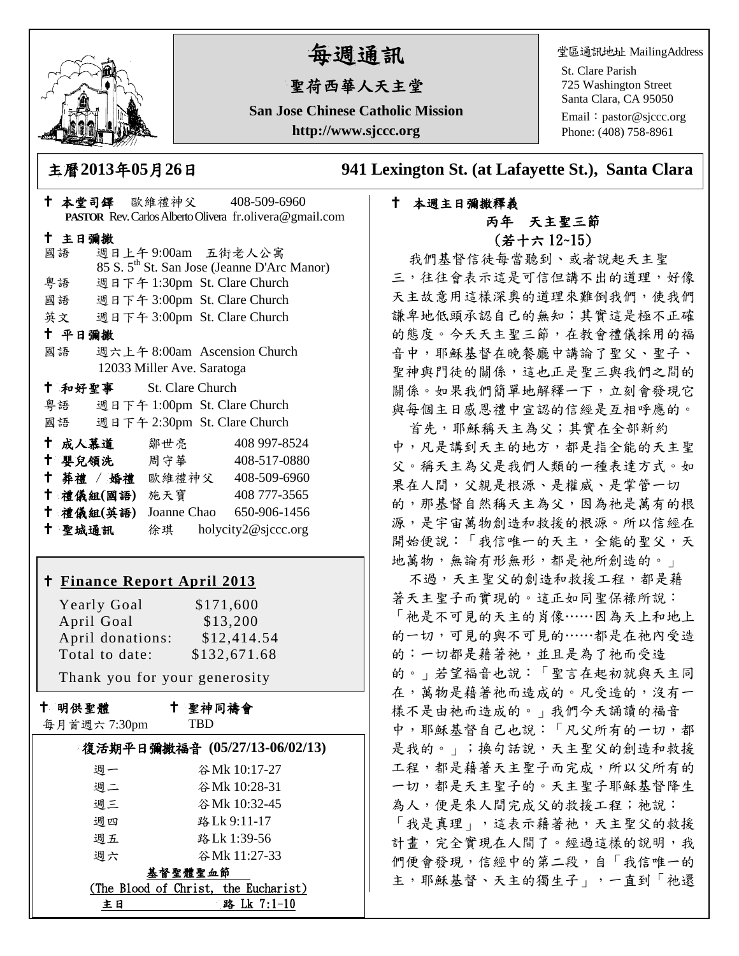

# 每週通訊

## 聖荷西華人天主堂

**San Jose Chinese Catholic Mission http://www.sjccc.org**

堂區通訊地址 MailingAddress

St. Clare Parish 725 Washington Street Santa Clara, CA 95050

Email: [pastor@sjccc.org](mailto:pastor@sjccc.org) Phone: (408) 758-8961

主曆**2013**年**05**月**26**日 **941 Lexington St. (at Lafayette St.), Santa Clara** 

## 本堂司鐸 歐維禮神父 408-509-6960 **PASTOR** Rev. Carlos Alberto Olivera fr.olivera@gmail.com 主日彌撒 國語 週日上午 9:00am 五街老人公寓 85 S. 5th St. San Jose (Jeanne D'Arc Manor) 粵語 週日下午 1:30pm St. Clare Church 國語 週日下午 3:00pm St. Clare Church 英文 週日下午 3:00pm St. Clare Church 平日彌撒 國語 週六上午 8:00am Ascension Church 12033 Miller Ave. Saratoga 和好聖事 St. Clare Church 粵語 週日下午 1:00pm St. Clare Church 國語 週日下午 2:30pm St. Clare Church 十成人慕道 鄒世亮 408 997-8524 十 嬰兒領洗 周守華 408-517-0880 葬禮 / 婚禮 歐維禮神父 408-509-6960 禮儀組**(**國語**)** 施天寶 408 777-3565 禮儀組**(**英語**)** Joanne Chao 650-906-1456 聖城通訊 徐琪 holycity2@sjccc.org

#### **Finance [Report April 2013](http://sjccc.org/index.php/finance.html?src=bulletin112512)**

Yearly Goal \$171,600 April Goal \$13,200 April donations: \$12,414.54 Total to date: \$132,671.68 Thank you for your generosity

## 聖神同禱會

每月首週六 7:30pm

十 明供聖體

TBD

| 復活期平日彌撒福音 (05/27/13-06/02/13) |                                      |
|-------------------------------|--------------------------------------|
| 週一                            | 谷 Mk 10:17-27                        |
| 调二                            | 谷 Mk 10:28-31                        |
| 週三                            | 谷 Mk 10:32-45                        |
| 週四                            | 路Lk 9:11-17                          |
| 週五                            | 路Lk 1:39-56                          |
| 週六                            | 谷 Mk 11:27-33                        |
| 基督聖體聖血節                       |                                      |
|                               | (The Blood of Christ, the Eucharist) |
| 主日                            | 路 Lk 7:1-10                          |

#### 本週主日彌撒釋義 丙年 天主聖三節 (若十六 12~15)

我們基督信徒每當聽到、或者說起天主聖 三,往往會表示這是可信但講不出的道理,好像 天主故意用這樣深奧的道理來難倒我們,使我們 謙卑地低頭承認自己的無知;其實這是極不正確 的態度。今天天主聖三節,在教會禮儀採用的福 音中,耶穌基督在晚餐廳中講論了聖父、聖子、 聖神與門徒的關係,這也正是聖三與我們之間的 關係。如果我們簡單地解釋一下,立刻會發現它 與每個主日感恩禮中宣認的信經是互相呼應的。

首先,耶穌稱天主為父;其實在全部新約 中,凡是講到天主的地方,都是指全能的天主聖 父。稱天主為父是我們人類的一種表達方式。如 果在人間,父親是根源、是權威、是掌管一切 的,那基督自然稱天主為父,因為祂是萬有的根 源,是宇宙萬物創造和救援的根源。所以信經在 開始便說:「我信唯一的天主,全能的聖父,天 地萬物,無論有形無形,都是祂所創造的。」

不過,天主聖父的創造和救援工程,都是藉 著天主聖子而實現的。這正如同聖保祿所說: 「祂是不可見的天主的肖像……因為天上和地上 的一切,可見的與不可見的……都是在祂內受造 的:一切都是藉著祂,並且是為了祂而受造 的。」若望福音也說:「聖言在起初就與天主同 在,萬物是藉著祂而造成的。凡受造的,沒有一 樣不是由祂而造成的。」我們今天誦讀的福音 中,耶穌基督自己也說:「凡父所有的一切,都 是我的。」;換句話說,天主聖父的創造和救援 工程,都是藉著天主聖子而完成,所以父所有的 一切,都是天主聖子的。天主聖子耶穌基督降生 為人,便是來人間完成父的救援工程;祂說: 「我是真理」,這表示藉著祂,天主聖父的救援 計畫,完全實現在人間了。經過這樣的說明,我 們便會發現,信經中的第二段,自「我信唯一的 主,耶穌基督、天主的獨生子」,一直到「祂還